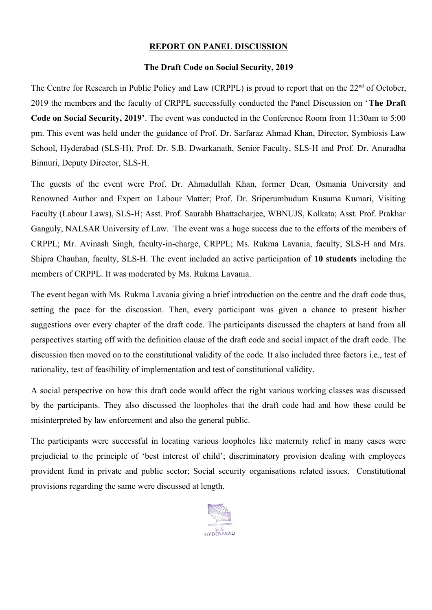## **REPORT ON PANEL DISCUSSION**

## **The Draft Code on Social Security, 2019**

The Centre for Research in Public Policy and Law (CRPPL) is proud to report that on the 22<sup>nd</sup> of October, 2019 the members and the faculty of CRPPL successfully conducted the Panel Discussion on '**The Draft Code on Social Security, 2019'**. The event was conducted in the Conference Room from 11:30am to 5:00 pm. This event was held under the guidance of Prof. Dr. Sarfaraz Ahmad Khan, Director, Symbiosis Law School, Hyderabad (SLS-H), Prof. Dr. S.B. Dwarkanath, Senior Faculty, SLS-H and Prof. Dr. Anuradha Binnuri, Deputy Director, SLS-H.

The guests of the event were Prof. Dr. Ahmadullah Khan, former Dean, Osmania University and Renowned Author and Expert on Labour Matter; Prof. Dr. Sriperumbudum Kusuma Kumari, Visiting Faculty (Labour Laws), SLS-H; Asst. Prof. Saurabh Bhattacharjee, WBNUJS, Kolkata; Asst. Prof. Prakhar Ganguly, NALSAR University of Law. The event was a huge success due to the efforts of the members of CRPPL; Mr. Avinash Singh, faculty-in-charge, CRPPL; Ms. Rukma Lavania, faculty, SLS-H and Mrs. Shipra Chauhan, faculty, SLS-H. The event included an active participation of **10 students** including the members of CRPPL. It was moderated by Ms. Rukma Lavania.

The event began with Ms. Rukma Lavania giving a brief introduction on the centre and the draft code thus, setting the pace for the discussion. Then, every participant was given a chance to present his/her suggestions over every chapter of the draft code. The participants discussed the chapters at hand from all perspectives starting off with the definition clause of the draft code and social impact of the draft code. The discussion then moved on to the constitutional validity of the code. It also included three factors i.e., test of rationality, test of feasibility of implementation and test of constitutional validity.

A social perspective on how this draft code would affect the right various working classes was discussed by the participants. They also discussed the loopholes that the draft code had and how these could be misinterpreted by law enforcement and also the general public.

The participants were successful in locating various loopholes like maternity relief in many cases were prejudicial to the principle of 'best interest of child'; discriminatory provision dealing with employees provident fund in private and public sector; Social security organisations related issues. Constitutional provisions regarding the same were discussed at length.

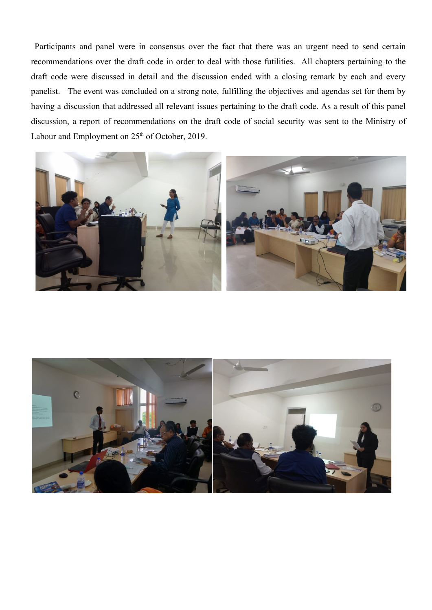Participants and panel were in consensus over the fact that there was an urgent need to send certain recommendations over the draft code in order to deal with those futilities. All chapters pertaining to the draft code were discussed in detail and the discussion ended with a closing remark by each and every panelist. The event was concluded on a strong note, fulfilling the objectives and agendas set for them by having a discussion that addressed all relevant issues pertaining to the draft code. As a result of this panel discussion, a report of recommendations on the draft code of social security was sent to the Ministry of Labour and Employment on  $25<sup>th</sup>$  of October, 2019.



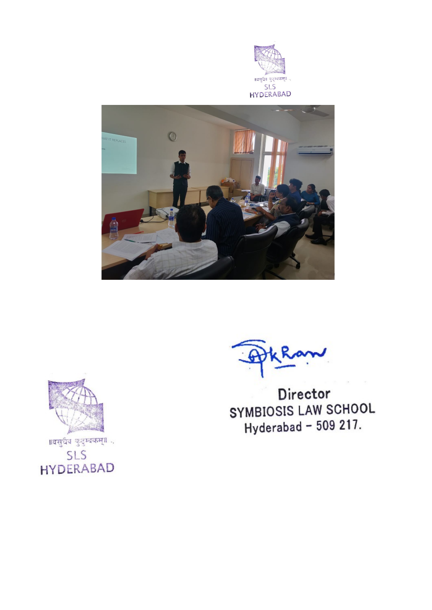





।।वसुधैव कुटुम्बकम्॥ **SLS HYDERABAD** 

Director SYMBIOSIS LAW SCHOOL Hyderabad - 509 217.